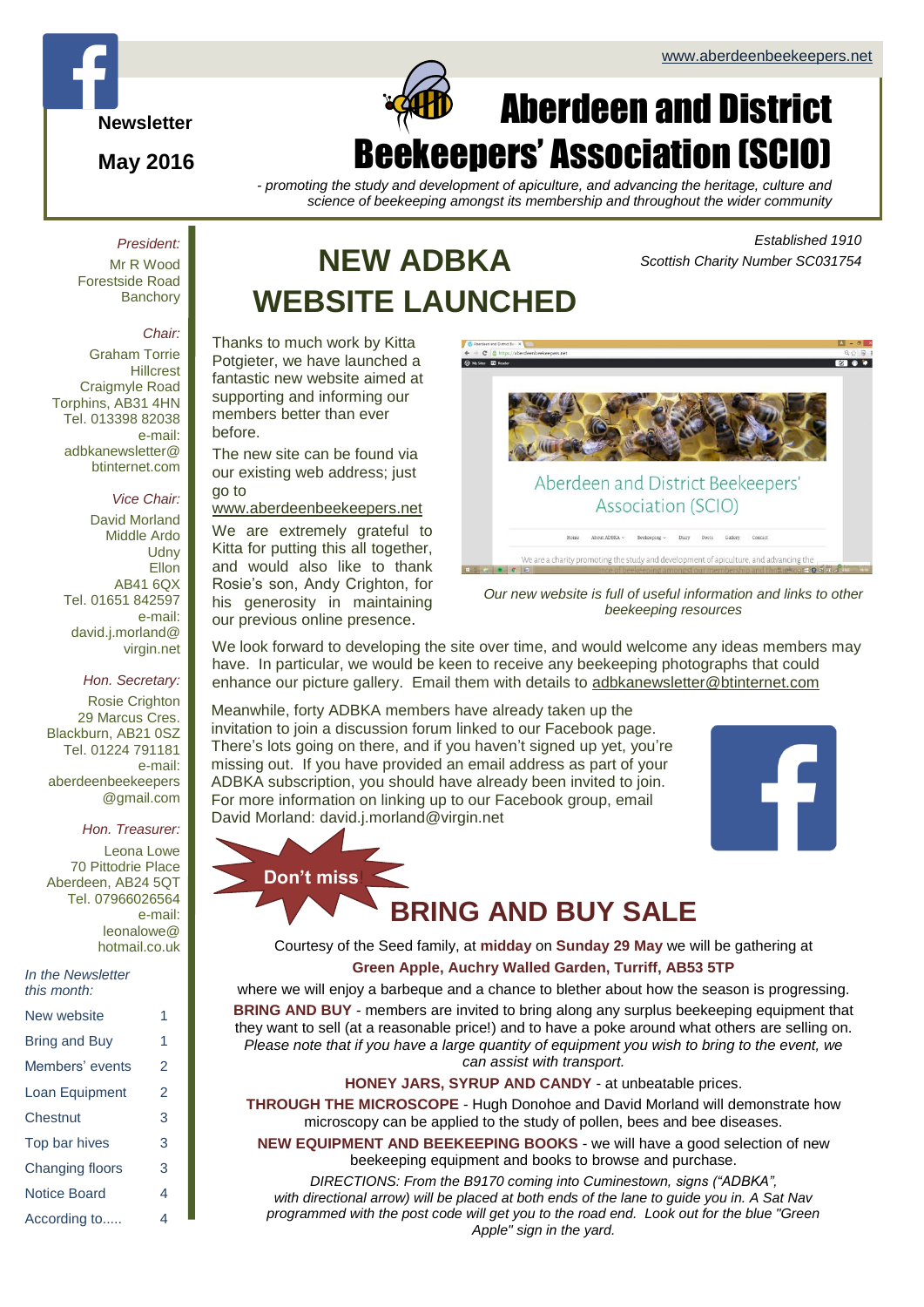*Scottish Charity Number SC031754*

*Established 1910*



**May 2016**

# $\Box$ Aberdeen and District ekeepers' Association (SCIO)

*- promoting the study and development of apiculture, and advancing the heritage, culture and science of beekeeping amongst its membership and throughout the wider community*

*President:* Mr R Wood

Forestside Road **Banchory** 

#### *Chair:*

Graham Torrie **Hillcrest** Craigmyle Road Torphins, AB31 4HN Tel. 013398 82038 e-mail: adbkanewsletter@ btinternet.com

#### *Vice Chair:*

David Morland Middle Ardo **Udny** Ellon AB41 6QX Tel. 01651 842597 e-mail: david.j.morland@ virgin.net

#### *Hon. Secretary:*

Rosie Crighton 29 Marcus Cres. Blackburn, AB21 0SZ Tel. 01224 791181 e-mail: aberdeenbeekeepers @gmail.com

#### *Hon. Treasurer:*

Leona Lowe 70 Pittodrie Place Aberdeen, AB24 5QT Tel. 07966026564 e-mail: leonalowe@ hotmail.co.uk

*In the Newsletter this month:*

| New website     | 1 |
|-----------------|---|
| Bring and Buy   | 1 |
| Members' events | 2 |
| Loan Equipment  | 2 |
| Chestnut        | 3 |
| Top bar hives   | 3 |
| Changing floors | 3 |
| Notice Board    | 4 |
| According to    | 4 |

# **NEW ADBKA WEBSITE LAUNCHED**

Thanks to much work by Kitta Potgieter, we have launched a fantastic new website aimed at supporting and informing our members better than ever before.

The new site can be found via our existing web address; just go to

[www.aberdeenbeekeepers.net](http://www.aberdeenbeekeepers.net/)

We are extremely grateful to Kitta for putting this all together, and would also like to thank Rosie's son, Andy Crighton, for his generosity in maintaining our previous online presence.

**Don't miss**!



*Our new website is full of useful information and links to other beekeeping resources*

We look forward to developing the site over time, and would welcome any ideas members may have. In particular, we would be keen to receive any beekeeping photographs that could enhance our picture gallery. Email them with details to [adbkanewsletter@btinternet.com](mailto:adbkanewsletter@btinternet.com)

Meanwhile, forty ADBKA members have already taken up the invitation to join a discussion forum linked to our Facebook page. There's lots going on there, and if you haven't signed up yet, you're missing out. If you have provided an email address as part of your ADBKA subscription, you should have already been invited to join. For more information on linking up to our Facebook group, email David Morland: david.j.morland@virgin.net



# **BRING AND BUY SALE**

Courtesy of the Seed family, at **midday** on **Sunday 29 May** we will be gathering at **Green Apple, Auchry Walled Garden, Turriff, AB53 5TP**

where we will enjoy a barbeque and a chance to blether about how the season is progressing. **BRING AND BUY** - members are invited to bring along any surplus beekeeping equipment that they want to sell (at a reasonable price!) and to have a poke around what others are selling on. *Please note that if you have a large quantity of equipment you wish to bring to the event, we can assist with transport.*

### **HONEY JARS, SYRUP AND CANDY** - at unbeatable prices.

**THROUGH THE MICROSCOPE** - Hugh Donohoe and David Morland will demonstrate how microscopy can be applied to the study of pollen, bees and bee diseases.

**NEW EQUIPMENT AND BEEKEEPING BOOKS** - we will have a good selection of new beekeeping equipment and books to browse and purchase.

*DIRECTIONS: From the B9170 coming into Cuminestown, signs ("ADBKA", with directional arrow) will be placed at both ends of the lane to guide you in. A Sat Nav programmed with the post code will get you to the road end. Look out for the blue "Green Apple" sign in the yard.*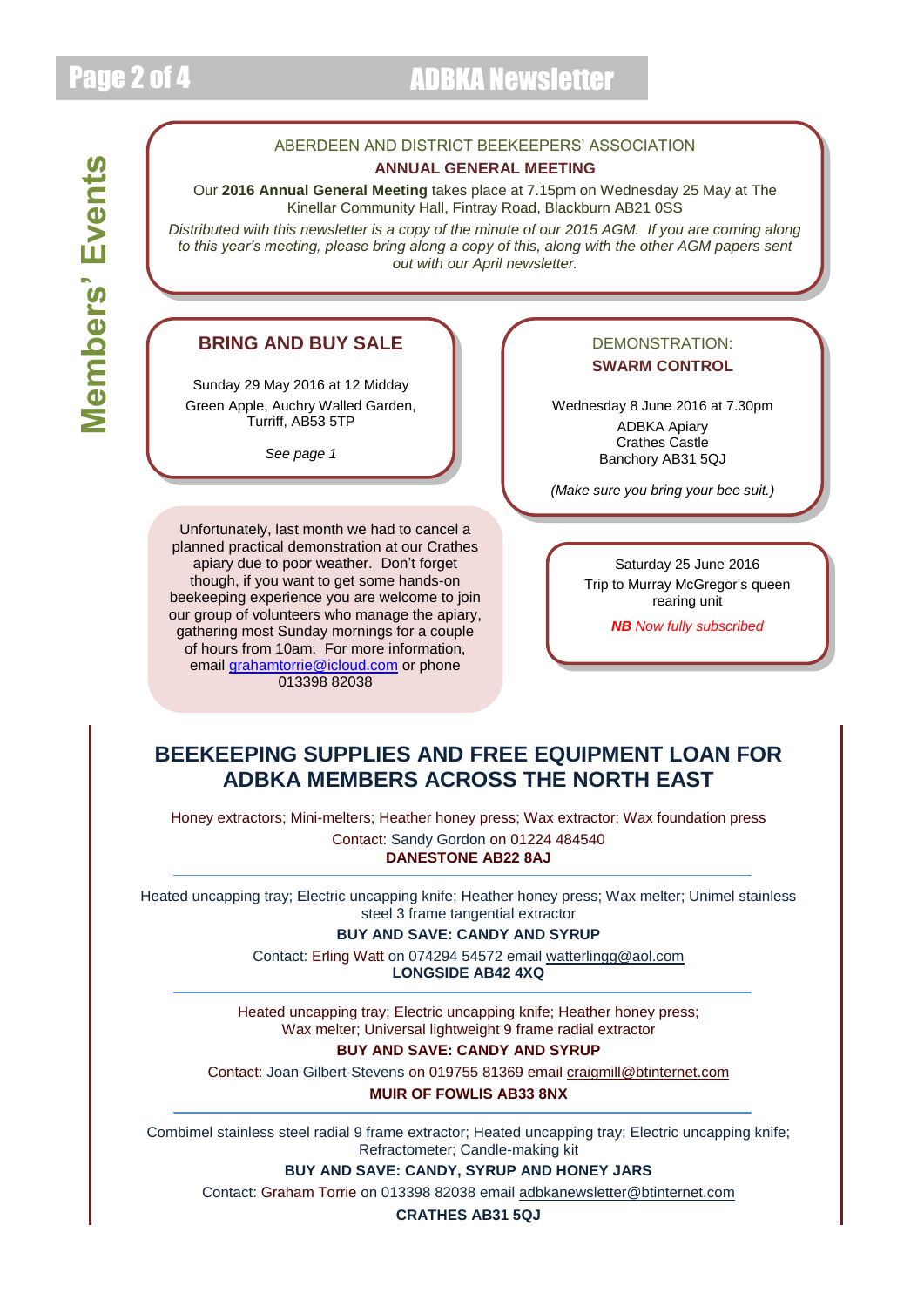## Page 2 of 4 ADBKA Newsletter

### ABERDEEN AND DISTRICT BEEKEEPERS' ASSOCIATION **ANNUAL GENERAL MEETING**

Our **2016 Annual General Meeting** takes place at 7.15pm on Wednesday 25 May at The Kinellar Community Hall, Fintray Road, Blackburn AB21 0SS

*Distributed with this newsletter is a copy of the minute of our 2015 AGM. If you are coming along to this year's meeting, please bring along a copy of this, along with the other AGM papers sent out with our April newsletter.*

### **BRING AND BUY SALE**

Sunday 29 May 2016 at 12 Midday Green Apple, Auchry Walled Garden, Turriff, AB53 5TP

*See page 1*

Unfortunately, last month we had to cancel a planned practical demonstration at our Crathes apiary due to poor weather. Don't forget though, if you want to get some hands-on beekeeping experience you are welcome to join our group of volunteers who manage the apiary, gathering most Sunday mornings for a couple of hours from 10am. For more information, email [grahamtorrie@icloud.com](mailto:grahamtorrie@icloud.com) or phone 013398 82038

#### DEMONSTRATION: **SWARM CONTROL**

Wednesday 8 June 2016 at 7.30pm ADBKA Apiary Crathes Castle Banchory AB31 5QJ

*(Make sure you bring your bee suit.)*

Saturday 25 June 2016 Trip to Murray McGregor's queen rearing unit

*NB Now fully subscribed*

### **BEEKEEPING SUPPLIES AND FREE EQUIPMENT LOAN FOR ADBKA MEMBERS ACROSS THE NORTH EAST**

Honey extractors; Mini-melters; Heather honey press; Wax extractor; Wax foundation press Contact: Sandy Gordon on 01224 484540 **DANESTONE AB22 8AJ**

Heated uncapping tray; Electric uncapping knife; Heather honey press; Wax melter; Unimel stainless steel 3 frame tangential extractor

**BUY AND SAVE: CANDY AND SYRUP**

Contact: Erling Watt on 074294 54572 email [watterlingg@aol.com](mailto:watterlingg@aol.com) **LONGSIDE AB42 4XQ**

Heated uncapping tray; Electric uncapping knife; Heather honey press; Wax melter; Universal lightweight 9 frame radial extractor

**BUY AND SAVE: CANDY AND SYRUP**

Contact: Joan Gilbert-Stevens on 019755 81369 email [craigmill@btinternet.com](mailto:craigmill@btinternet.com) **MUIR OF FOWLIS AB33 8NX**

Combimel stainless steel radial 9 frame extractor; Heated uncapping tray; Electric uncapping knife; Refractometer; Candle-making kit

**BUY AND SAVE: CANDY, SYRUP AND HONEY JARS**

Contact: Graham Torrie on 013398 82038 email [adbkanewsletter@btinternet.com](mailto:adbkanewsletter@btinternet.com)

**CRATHES AB31 5QJ**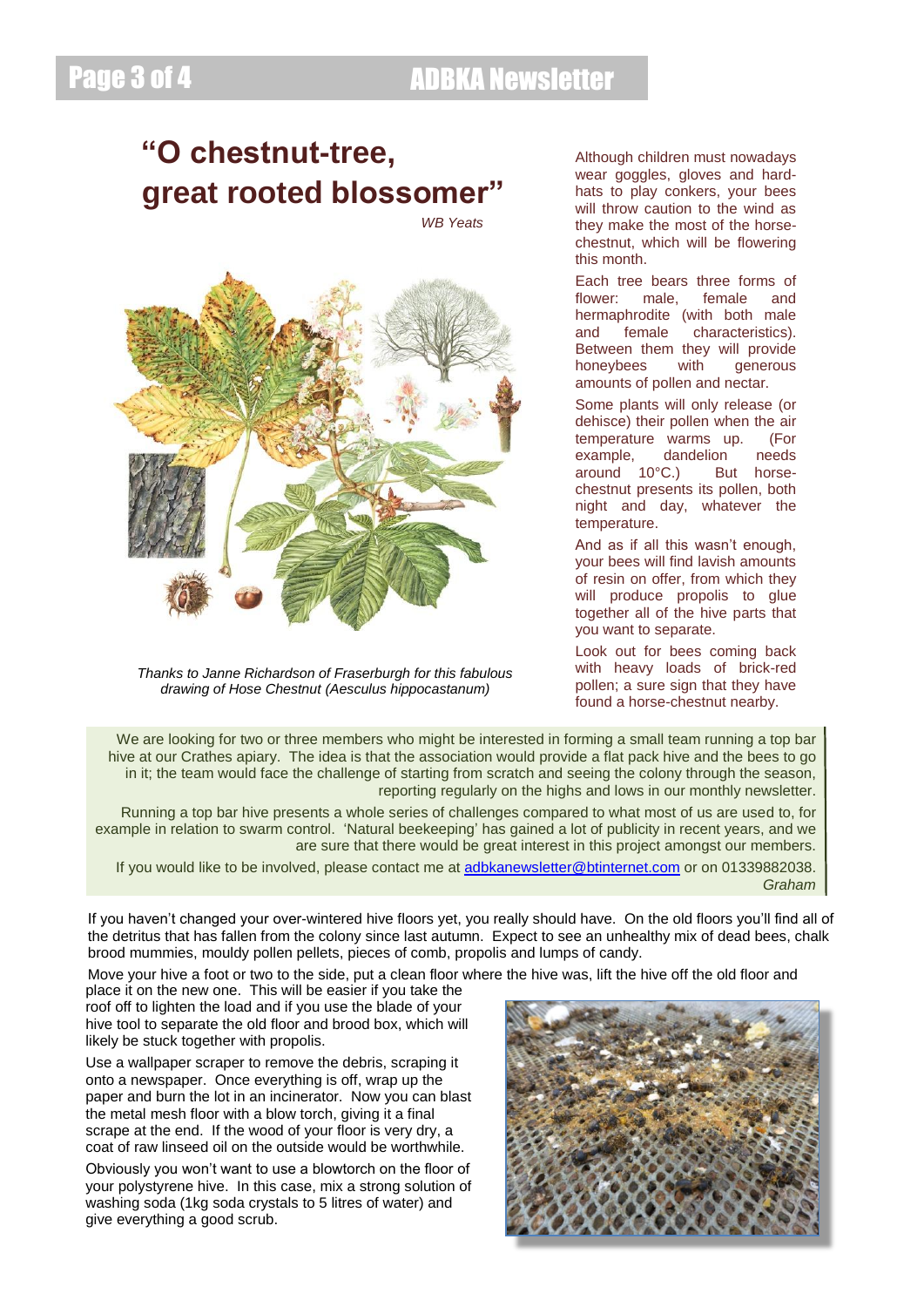### Page 3 of 4 ADBKA Newsletter

## **"O chestnut-tree, great rooted blossomer"**

*WB Yeats*



*Thanks to Janne Richardson of Fraserburgh for this fabulous drawing of Hose Chestnut (Aesculus hippocastanum)*

Although children must nowadays wear goggles, gloves and hardhats to play conkers, your bees will throw caution to the wind as they make the most of the horsechestnut, which will be flowering this month.

Each tree bears three forms of flower: male, female and hermaphrodite (with both male and female characteristics). Between them they will provide honeybees with generous amounts of pollen and nectar.

Some plants will only release (or dehisce) their pollen when the air temperature warms up. (For example, dandelion needs around 10°C.) But horsechestnut presents its pollen, both night and day, whatever the temperature.

And as if all this wasn't enough, your bees will find lavish amounts of resin on offer, from which they will produce propolis to glue together all of the hive parts that you want to separate.

Look out for bees coming back with heavy loads of brick-red pollen; a sure sign that they have found a horse-chestnut nearby.

We are looking for two or three members who might be interested in forming a small team running a top bar hive at our Crathes apiary. The idea is that the association would provide a flat pack hive and the bees to go in it; the team would face the challenge of starting from scratch and seeing the colony through the season, reporting regularly on the highs and lows in our monthly newsletter.

Running a top bar hive presents a whole series of challenges compared to what most of us are used to, for example in relation to swarm control. 'Natural beekeeping' has gained a lot of publicity in recent years, and we are sure that there would be great interest in this project amongst our members.

If you would like to be involved, please contact me at [adbkanewsletter@btinternet.com](mailto:adbkanewsletter@btinternet.com) or on 01339882038. *Graham*

If you haven't changed your over-wintered hive floors yet, you really should have. On the old floors you'll find all of the detritus that has fallen from the colony since last autumn. Expect to see an unhealthy mix of dead bees, chalk brood mummies, mouldy pollen pellets, pieces of comb, propolis and lumps of candy.

Move your hive a foot or two to the side, put a clean floor where the hive was, lift the hive off the old floor and

place it on the new one. This will be easier if you take the roof off to lighten the load and if you use the blade of your hive tool to separate the old floor and brood box, which will likely be stuck together with propolis.

Use a wallpaper scraper to remove the debris, scraping it onto a newspaper. Once everything is off, wrap up the paper and burn the lot in an incinerator. Now you can blast the metal mesh floor with a blow torch, giving it a final scrape at the end. If the wood of your floor is very dry, a coat of raw linseed oil on the outside would be worthwhile.

Obviously you won't want to use a blowtorch on the floor of your polystyrene hive. In this case, mix a strong solution of washing soda (1kg soda crystals to 5 litres of water) and give everything a good scrub.